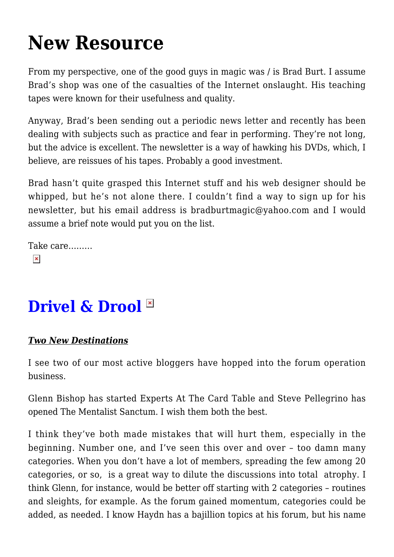## **[New Resource](https://intenselymagic.com/2006/01/21/new-resource/)**

From my perspective, one of the good guys in magic was / is Brad Burt. I assume Brad's shop was one of the casualties of the Internet onslaught. His teaching tapes were known for their usefulness and quality.

Anyway, Brad's been sending out a periodic news letter and recently has been dealing with subjects such as practice and fear in performing. They're not long, but the advice is excellent. The newsletter is a way of hawking his DVDs, which, I believe, are reissues of his tapes. Probably a good investment.

Brad hasn't quite grasped this Internet stuff and his web designer should be whipped, but he's not alone there. I couldn't find a way to sign up for his newsletter, but his email address is [bradburtmagic@yahoo.com](mailto:bradburtmagic@yahoo.com) and I would assume a brief note would put you on the list.

Take care………  $\pmb{\times}$ 

## **Drivel & Drool**

## *Two New Destinations*

I see two of our most active bloggers have hopped into the forum operation business.

Glenn Bishop has started [Experts At The Card Table](http://www.1-2-free-forums.com/mf/expertatthecard.html) and Steve Pellegrino has opened [The Mentalist Sanctum](http://www.mentalistsanctum.com/). I wish them both the best.

I think they've both made mistakes that will hurt them, especially in the beginning. Number one, and I've seen this over and over – too damn many categories. When you don't have a lot of members, spreading the few among 20 categories, or so, is a great way to dilute the discussions into total atrophy. I think Glenn, for instance, would be better off starting with 2 categories – routines and sleights, for example. As the forum gained momentum, categories could be added, as needed. I know Haydn has a bajillion topics at his forum, but his name